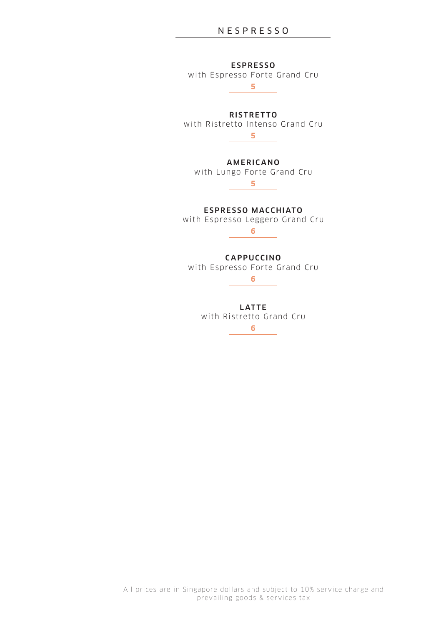# N E S P R E S S O

**ESPRESSO** 

with Espresso Forte Grand Cru

**5**

**RISTRETTO** with Ristretto Intenso Grand Cru **5**

**AMERICANO** 

with Lungo Forte Grand Cru **5**

ESPRESSO MACCHIATO

with Espresso Leggero Grand Cru

**6**

**CAPPUCCINO** 

with Espresso Forte Grand Cru

**6**

**LATTE** with Ristretto Grand Cru **6**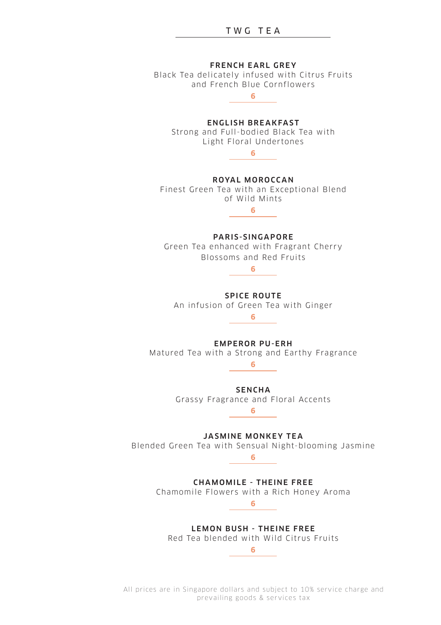

All prices are in Singapore dollars and subject to 10% service charge and prevailing goods & services tax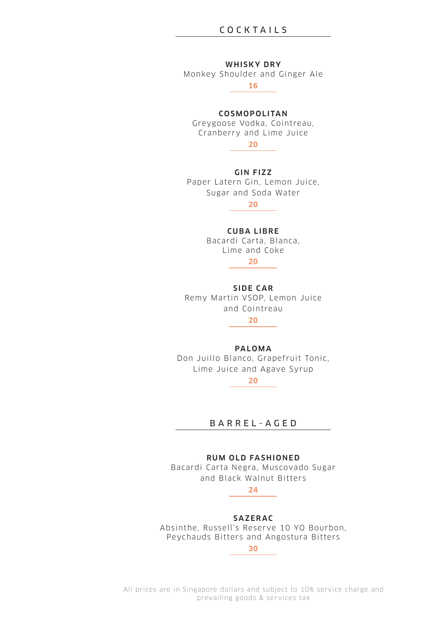# COCKTAILS

#### **WHISKY DRY**

Monkey Shoulder and Ginger Ale

16

## COSMOPOLITAN

Greygoose Vodka, Cointreau, Cranberry and Lime Juice



**GIN FIZZ** Paper Latern Gin, Lemon Juice, Sugar and Soda Water

### **CUBALIBRE**

Bacardi Carta, Blanca, Lime and Coke

 $20$ 

SIDE CAR Remy Martin VSOP, Lemon Juice and Cointreau  $20$ 

#### **PAIOMA**

Don Juillo Blanco, Grapefruit Tonic. Lime Juice and Agave Syrup

 $20$ 

# BARREL-AGED

### **RUM OLD FASHIONED**

Bacardi Carta Negra, Muscovado Sugar and Black Walnut Bitters

# $24$

**SAZERAC** 

Absinthe, Russell's Reserve 10 YO Bourbon, Peychauds Bitters and Angostura Bitters

 $30<sub>2</sub>$ 

All prices are in Singapore dollars and subject to 10% service charge and prevailing goods & services tax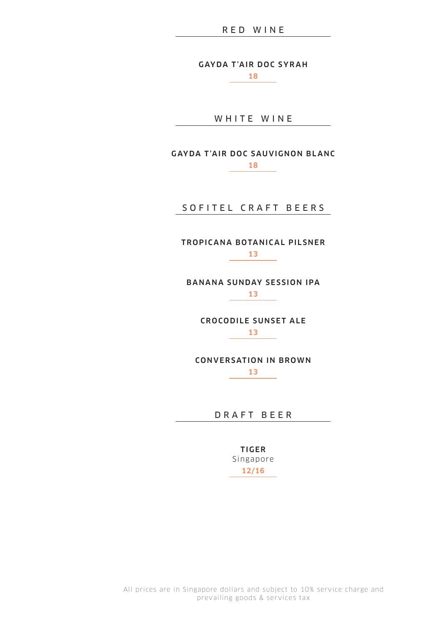GAYDA T'AIR DOC SYRAH

**18**

WHITE WINE

GAYDA T'AIR DOC SAUVIGNON BLANC **18**

SOFITEL CRAFT BEERS

TROPICANA BOTANICAL PILSNER **13**

BANANA SUNDAY SESSION IPA **13**

> CROCODILE SUNSET ALE **13**

CONVERSATION IN BROWN **13** 

D R A F T B E E R

TIGER S ingapore **12/16**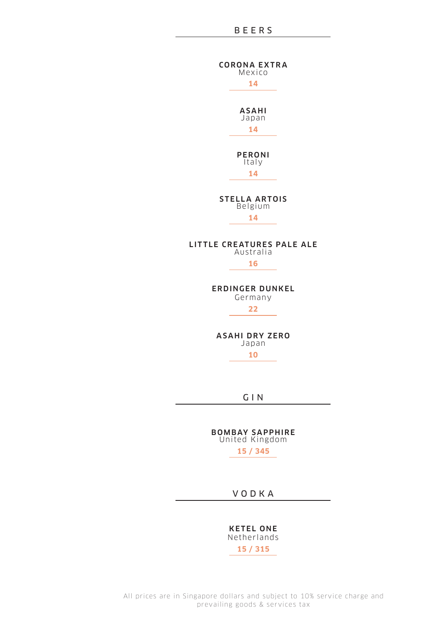### **BEERS**

**CORONA EXTRA** Mexico 14 **ASAHI** waxuu 14 PERONI Italy 14 **STELLA ARTOIS** Belgium  $14$ LITTLE CREATURES PALE ALE Australia 16 **ERDINGER DUNKEL** Germany  $22$ **ASAHI DRY ZERO** Japan  $10<sup>10</sup>$ 

 $G \mid N$ 

**BOMBAY SAPPHIRE**<br>United Kingdom  $15/345$ 

VODKA

**KETEL ONE** Netherlands 15 / 315

All prices are in Singapore dollars and subject to 10% service charge and prevailing goods & services tax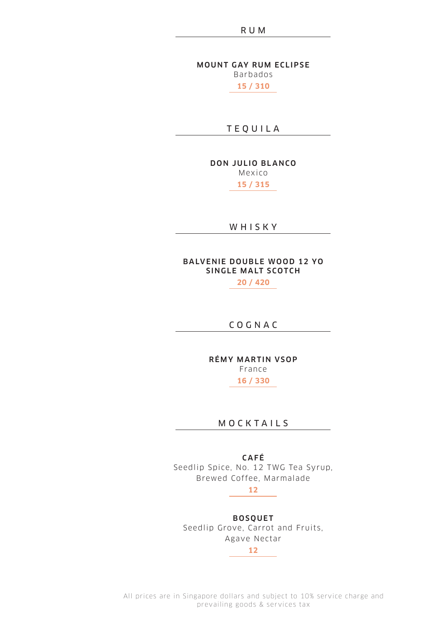**MOUNT GAY RUM ECLIPSE** Barbados

**15 / 310**

T E Q U I L A

DON JULIO BLANCO

Mex ico

**15 / 315**

W H I S K Y

# BALVENIE DOUBLE WOOD 12 YO SINGLE MALT SCOTCH

**20 / 420**

C O G N A C

RÉMY MARTIN VSOP

France

**16 / 330**

# **MOCKTAILS**

C AF É Seedlip Spice, No. 12 TWG Tea Syrup, Brewed Coffee, Marmalade

**12**

# **BOSOUET**

Seedlip Grove, Carrot and Fruits, Agave Nectar

**12**